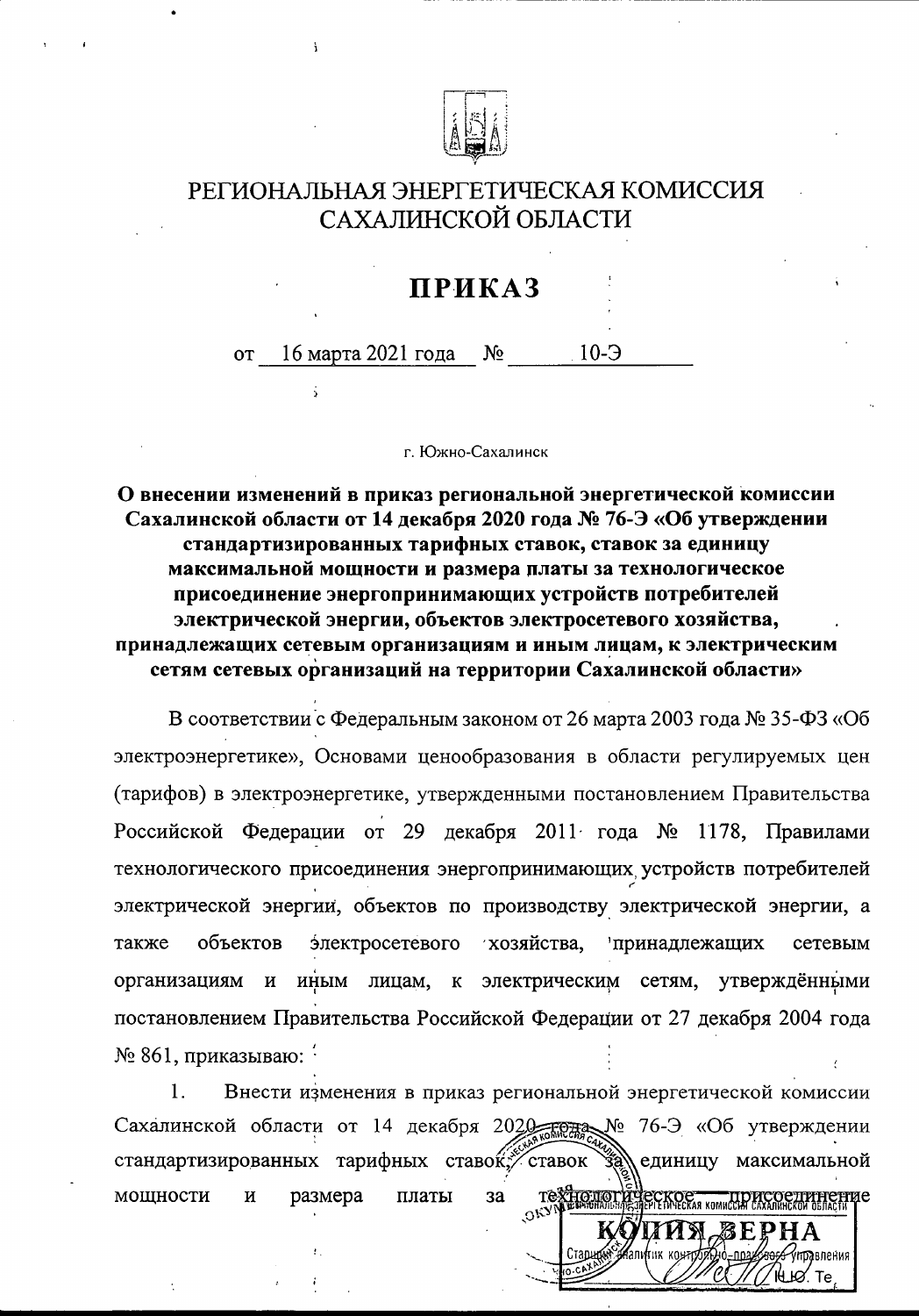

 $\ddot{ }$ 

## РЕГИОНАЛЬНАЯ ЭНЕРГЕТИЧЕСКАЯ КОМИССИЯ САХАЛИНСКОЙ ОБЛАСТИ

## **ПРИКАЗ**

16 марта 2021 года  $N_2$  $10-5$  $OT$ 

г. Южно-Сахалинск

О внесении изменений в приказ региональной энергетической комиссии Сахалинской области от 14 декабря 2020 года № 76-Э «Об утверждении стандартизированных тарифных ставок, ставок за единицу максимальной мощности и размера платы за технологическое присоединение энергопринимающих устройств потребителей электрической энергии, объектов электросетевого хозяйства, принадлежащих сетевым организациям и иным лицам, к электрическим сетям сетевых организаций на территории Сахалинской области»

В соответствии с Федеральным законом от 26 марта 2003 года № 35-ФЗ «Об электроэнергетике», Основами ценообразования в области регулируемых цен (тарифов) в электроэнергетике, утвержденными постановлением Правительства Российской Федерации от 29 декабря 2011 года № 1178, Правилами технологического присоединения энергопринимающих устройств потребителей электрической энергии, объектов по производству электрической энергии, а хозяйства, объектов электросетевого принадлежащих также сетевым иным лицам, к электрическим сетям, утверждёнными организациям  $\,$  M постановлением Правительства Российской Федерации от 27 декабря 2004 года  $\mathcal{N}_2$  861, приказываю:  $\frac{1}{2}$ 

1. Внести изменения в приказ региональной энергетической комиссии Сахалинской области от 14 декабря 2020 года № 76-Э «Об утверждении стандартизированных тарифных ставой, ставок единицу максимальной **TextFoulon** мощности И размера платы  $3a$ LAUE TIDHCOCTHHEFFE

№ Ю∕Те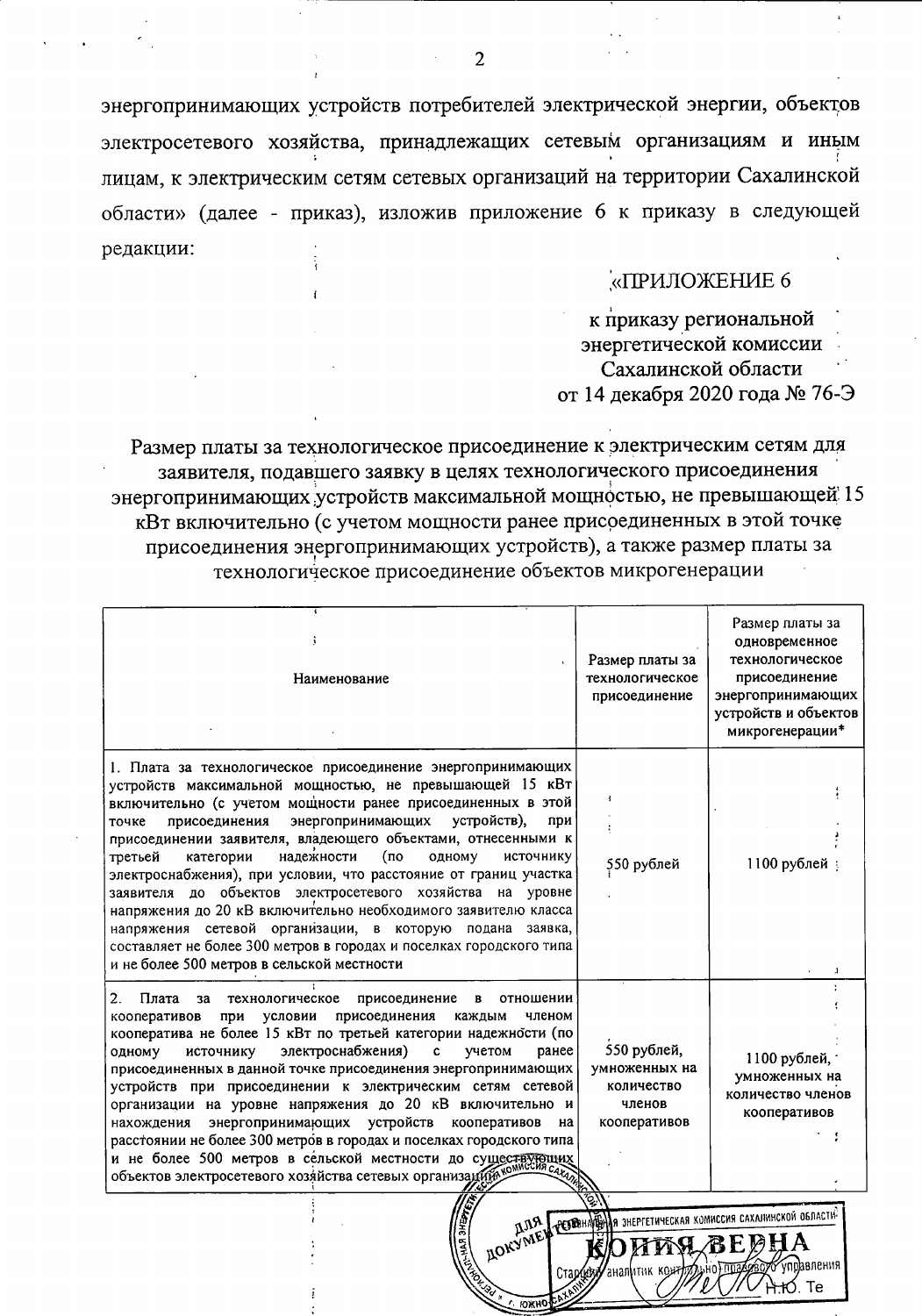энергопринимающих устройств потребителей электрической энергии, объектов электросетевого хозяйства, принадлежащих сетевым организациям и иным лицам, к электрическим сетям сетевых организаций на территории Сахалинской области» (далее - приказ), изложив приложение 6 к приказу в следующей редакции:

## «ПРИЛОЖЕНИЕ 6

к приказу региональной энергетической комиссии Сахалинской области от 14 декабря 2020 года № 76-Э

**впения** 

⊣r∕). Te

аналитик коя

Размер платы за технологическое присоединение к электрическим сетям для заявителя, подавшего заявку в целях технологического присоединения энергопринимающих устройств максимальной мощностью, не превышающей 15 кВт включительно (с учетом мощности ранее присоединенных в этой точке присоединения энергопринимающих устройств), а также размер платы за технологическое присоединение объектов микрогенерации

| Наименование                                                                                                                                                                                                                                                                                                                                                                                                                                                                                                                                                                                                                                                                                                                                                                       | Размер платы за<br>технологическое<br>присоединение                  | Размер платы за<br>одновременное<br>технологическое<br>присоединение<br>энергопринимающих<br>устройств и объектов<br>микрогенерации* |
|------------------------------------------------------------------------------------------------------------------------------------------------------------------------------------------------------------------------------------------------------------------------------------------------------------------------------------------------------------------------------------------------------------------------------------------------------------------------------------------------------------------------------------------------------------------------------------------------------------------------------------------------------------------------------------------------------------------------------------------------------------------------------------|----------------------------------------------------------------------|--------------------------------------------------------------------------------------------------------------------------------------|
| 1. Плата за технологическое присоединение энергопринимающих<br>устройств максимальной мощностью, не превышающей 15 кВт<br>включительно (с учетом мощности ранее присоединенных в этой<br>энергопринимающих<br>устройств),<br>присоединения<br>точке<br>при<br>присоединении заявителя, владеющего объектами, отнесенными к<br>надежности<br>(по<br>одному<br>источнику<br>третьей<br>категории<br>электроснабжения), при условии, что расстояние от границ участка<br>заявителя до объектов электросетевого хозяйства на уровне<br>напряжения до 20 кВ включительно необходимого заявителю класса<br>напряжения сетевой организации, в которую подана заявка,<br>составляет не более 300 метров в городах и поселках городского типа<br>и не более 500 метров в сельской местности | 550 рублей                                                           | 1100 рублей                                                                                                                          |
| 2.<br>Плата<br>технологическое<br>присоединение<br>за<br>отношении<br>в<br>присоединения<br>условии<br>каждым<br>кооперативов<br>при<br>членом<br>кооператива не более 15 кВт по третьей категории надежности (по<br>электроснабжения)<br>$\mathbf{c}$<br>ранее<br>источнику<br>учетом<br>одному<br>присоединенных в данной точке присоединения энергопринимающих<br>устройств при присоединении к электрическим сетям сетевой<br>организации на уровне напряжения до 20 кВ включительно и<br>энергопринимающих устройств<br>кооперативов<br>на<br>нахождения<br>расстоянии не более 300 метров в городах и поселках городского типа<br>расстоянии не ослес это мотров в сельской местности до существующих<br>объектов электросетевого хозяйства сетевых организаций              | 550 рублей,<br>умноженных на<br>количество<br>членов<br>кооперативов | 1100 рублей,<br>умноженных на<br>количество членов<br>кооперативов                                                                   |
| VNER                                                                                                                                                                                                                                                                                                                                                                                                                                                                                                                                                                                                                                                                                                                                                                               | ELITTE AFBHA                                                         | PERBHAFEHAR SHEPFETHYECKAR KOMMCCHA CAXAJIMHCKON OSJACTIN                                                                            |

 $\overline{2}$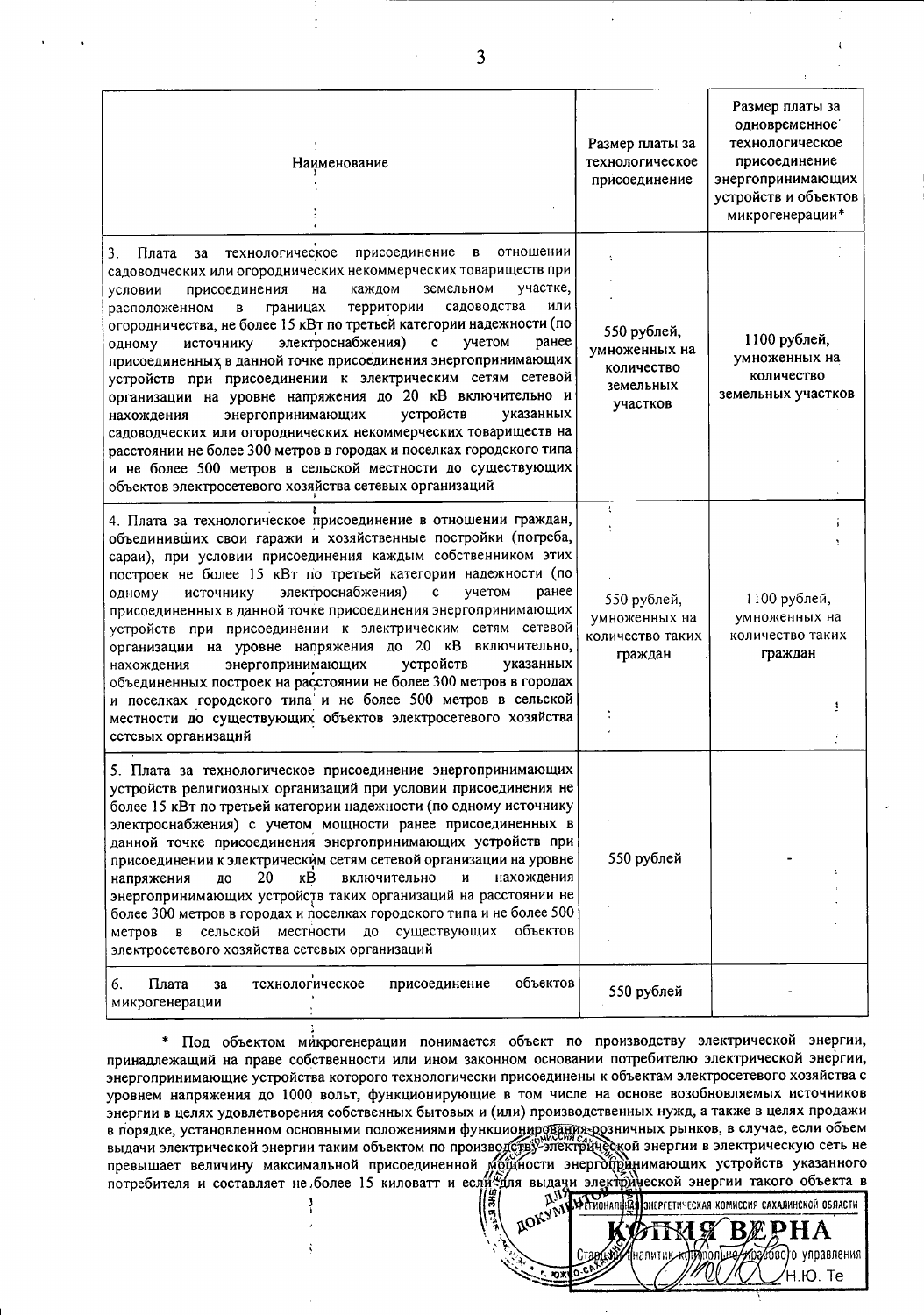| Наименование                                                                                                                                                                                                                                                                                                                                                                                                                                                                                                                                                                                                                                                                                                                                                                                                                                                                                                                                                        | Размер платы за<br>технологическое<br>присоединение                 | Размер платы за<br>одновременное<br>технологическое<br>присоединение<br>энергопринимающих<br>устройств и объектов<br>микрогенерации* |
|---------------------------------------------------------------------------------------------------------------------------------------------------------------------------------------------------------------------------------------------------------------------------------------------------------------------------------------------------------------------------------------------------------------------------------------------------------------------------------------------------------------------------------------------------------------------------------------------------------------------------------------------------------------------------------------------------------------------------------------------------------------------------------------------------------------------------------------------------------------------------------------------------------------------------------------------------------------------|---------------------------------------------------------------------|--------------------------------------------------------------------------------------------------------------------------------------|
| Плата<br>технологическое<br>присоединение<br>отношении<br>3.<br>В<br>за<br>садоводческих или огороднических некоммерческих товариществ при<br>участке,<br>каждом<br>земельном<br>присоединения<br>на<br>условии<br>или<br>территории<br>садоводства<br>расположенном<br>границах<br>B<br>огородничества, не более 15 кВт по третьей категории надежности (по<br>электроснабжения)<br>$\mathbf{c}$<br>учетом<br>ранее<br>источнику<br>одному<br>присоединенных в данной точке присоединения энергопринимающих<br>устройств при присоединении к электрическим сетям сетевой<br>организации на уровне напряжения до 20 кВ включительно и<br>устройств<br>энергопринимающих<br>указанных<br>нахождения<br>садоводческих или огороднических некоммерческих товариществ на<br>расстоянии не более 300 метров в городах и поселках городского типа<br>и не более 500 метров в сельской местности до существующих<br>объектов электросетевого хозяйства сетевых организаций | 550 рублей,<br>умноженных на<br>количество<br>земельных<br>участков | 1100 рублей,<br>умноженных на<br>количество<br>земельных участков                                                                    |
| 4. Плата за технологическое присоединение в отношении граждан,<br>объединивших свои гаражи и хозяйственные постройки (погреба,<br>сараи), при условии присоединения каждым собственником этих<br>построек не более 15 кВт по третьей категории надежности (по<br>электроснабжения)<br>ранее<br>Ċ<br>учетом<br>источнику<br>одному<br>присоединенных в данной точке присоединения энергопринимающих<br>устройств при присоединении к электрическим сетям сетевой<br>организации на уровне напряжения до 20 кВ включительно,<br>энергопринимающих<br>устройств<br>указанных<br>нахождения<br>объединенных построек на расстоянии не более 300 метров в городах<br>и поселках городского типа и не более 500 метров в сельской<br>местности до существующих объектов электросетевого хозяйства<br>сетевых организаций                                                                                                                                                  | ŧ<br>550 рублей,<br>умноженных на<br>количество таких<br>граждан    | 1100 рублей,<br>умноженных на<br>количество таких<br>граждан                                                                         |
| 5. Плата за технологическое присоединение энергопринимающих<br>устройств религиозных организаций при условии присоединения не<br>более 15 кВт по третьей категории надежности (по одному источнику<br>электроснабжения) с учетом мощности ранее присоединенных в<br>данной точке присоединения энергопринимающих устройств при<br>присоединении к электрическим сетям сетевой организации на уровне<br>20<br>кB<br>нахождения<br>напряжения<br>до<br>включительно<br>И<br>энергопринимающих устройств таких организаций на расстоянии не<br>более 300 метров в городах и поселках городского типа и не более 500<br>местности<br>до существующих<br>объектов<br>сельской<br>метров<br>$\mathbf{B}$<br>электросетевого хозяйства сетевых организаций                                                                                                                                                                                                                 | 550 рублей                                                          |                                                                                                                                      |
| Плата<br>объектов<br>6.<br>технологическое<br>присоединение<br>за<br>микрогенерации                                                                                                                                                                                                                                                                                                                                                                                                                                                                                                                                                                                                                                                                                                                                                                                                                                                                                 | 550 рублей                                                          |                                                                                                                                      |

\* Под объектом микрогенерации понимается объект по производству электрической энергии, принадлежащий на праве собственности или ином законном основании потребителю электрической энергии, энергопринимающие устройства которого технологически присоединены к объектам электросетевого хозяйства с уровнем напряжения до 1000 вольт, функционирующие в том числе на основе возобновляемых источников энергии в целях удовлетворения собственных бытовых и (или) производственных нужд, а также в целях продажи в порядке, установленном основными положениями функционирования-розничных рынков, в случае, если объем выдачи электрической энергии таким объектом по производству-электрической энергии в электрическую сеть не превышает величину максимальной присоединенной мощности энергодиранимающих устройств указанного потребителя и составляет не более 15 киловатт и если значи электродуеской энергии такого объекта в RIGHT HANGEROW ЭНЕРГИИ ТАКОГО Объекта

В

налит

7660) о управления

Ή.Ю. Те